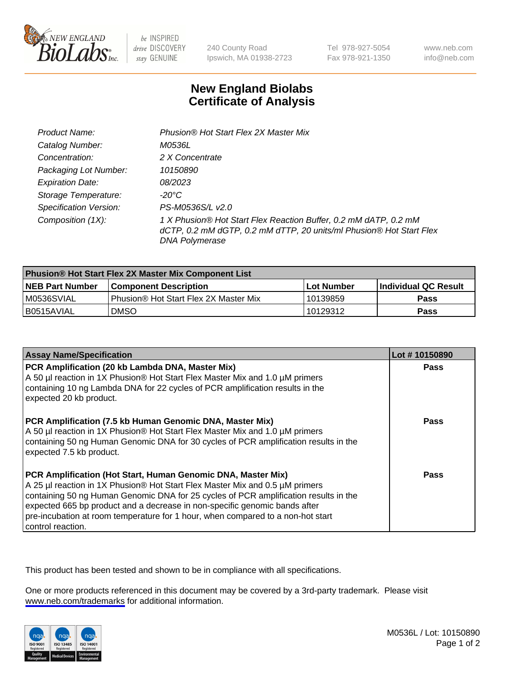

be INSPIRED drive DISCOVERY stay GENUINE

240 County Road Ipswich, MA 01938-2723 Tel 978-927-5054 Fax 978-921-1350

www.neb.com info@neb.com

## **New England Biolabs Certificate of Analysis**

| Product Name:           | Phusion® Hot Start Flex 2X Master Mix                                                                                                                     |
|-------------------------|-----------------------------------------------------------------------------------------------------------------------------------------------------------|
| Catalog Number:         | M0536L                                                                                                                                                    |
| Concentration:          | 2 X Concentrate                                                                                                                                           |
| Packaging Lot Number:   | 10150890                                                                                                                                                  |
| <b>Expiration Date:</b> | <i>08/2023</i>                                                                                                                                            |
| Storage Temperature:    | -20°C                                                                                                                                                     |
| Specification Version:  | PS-M0536S/L v2.0                                                                                                                                          |
| Composition (1X):       | 1 X Phusion® Hot Start Flex Reaction Buffer, 0.2 mM dATP, 0.2 mM<br>dCTP, 0.2 mM dGTP, 0.2 mM dTTP, 20 units/ml Phusion® Hot Start Flex<br>DNA Polymerase |

| <b>Phusion® Hot Start Flex 2X Master Mix Component List</b> |                                              |            |                      |  |
|-------------------------------------------------------------|----------------------------------------------|------------|----------------------|--|
| <b>NEB Part Number</b>                                      | <b>Component Description</b>                 | Lot Number | Individual QC Result |  |
| M0536SVIAL                                                  | <b>Phusion® Hot Start Flex 2X Master Mix</b> | l 10139859 | <b>Pass</b>          |  |
| I B0515AVIAL                                                | <b>DMSO</b>                                  | 10129312   | <b>Pass</b>          |  |

| <b>Assay Name/Specification</b>                                                                                                                                                                                                                                                                                                                                                                                            | Lot #10150890 |
|----------------------------------------------------------------------------------------------------------------------------------------------------------------------------------------------------------------------------------------------------------------------------------------------------------------------------------------------------------------------------------------------------------------------------|---------------|
| PCR Amplification (20 kb Lambda DNA, Master Mix)<br>A 50 µl reaction in 1X Phusion® Hot Start Flex Master Mix and 1.0 µM primers<br>containing 10 ng Lambda DNA for 22 cycles of PCR amplification results in the<br>expected 20 kb product.                                                                                                                                                                               | <b>Pass</b>   |
| PCR Amplification (7.5 kb Human Genomic DNA, Master Mix)<br>A 50 µl reaction in 1X Phusion® Hot Start Flex Master Mix and 1.0 µM primers<br>containing 50 ng Human Genomic DNA for 30 cycles of PCR amplification results in the<br>expected 7.5 kb product.                                                                                                                                                               | Pass          |
| PCR Amplification (Hot Start, Human Genomic DNA, Master Mix)<br>A 25 µl reaction in 1X Phusion® Hot Start Flex Master Mix and 0.5 µM primers<br>containing 50 ng Human Genomic DNA for 25 cycles of PCR amplification results in the<br>expected 665 bp product and a decrease in non-specific genomic bands after<br>pre-incubation at room temperature for 1 hour, when compared to a non-hot start<br>control reaction. | Pass          |

This product has been tested and shown to be in compliance with all specifications.

One or more products referenced in this document may be covered by a 3rd-party trademark. Please visit <www.neb.com/trademarks>for additional information.